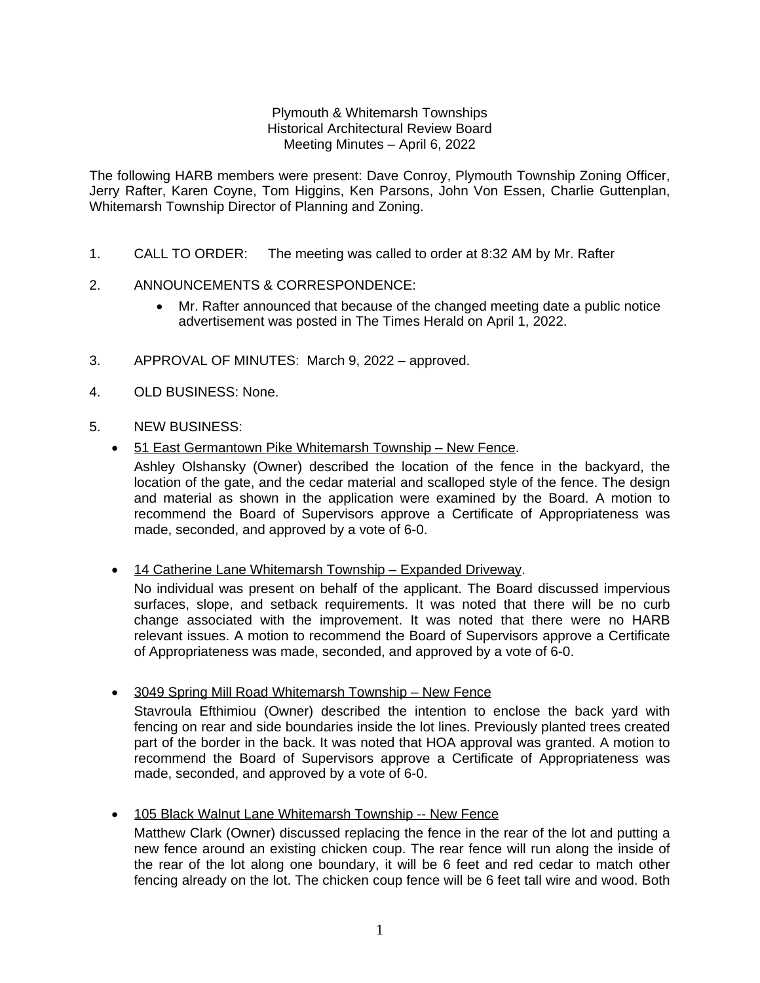## Plymouth & Whitemarsh Townships Historical Architectural Review Board Meeting Minutes – April 6, 2022

The following HARB members were present: Dave Conroy, Plymouth Township Zoning Officer, Jerry Rafter, Karen Coyne, Tom Higgins, Ken Parsons, John Von Essen, Charlie Guttenplan, Whitemarsh Township Director of Planning and Zoning.

- 1. CALL TO ORDER: The meeting was called to order at 8:32 AM by Mr. Rafter
- 2. ANNOUNCEMENTS & CORRESPONDENCE:
	- Mr. Rafter announced that because of the changed meeting date a public notice advertisement was posted in The Times Herald on April 1, 2022.
- 3. APPROVAL OF MINUTES: March 9, 2022 approved.
- 4. OLD BUSINESS: None.
- 5. NEW BUSINESS:
	- 51 East Germantown Pike Whitemarsh Township New Fence.

Ashley Olshansky (Owner) described the location of the fence in the backyard, the location of the gate, and the cedar material and scalloped style of the fence. The design and material as shown in the application were examined by the Board. A motion to recommend the Board of Supervisors approve a Certificate of Appropriateness was made, seconded, and approved by a vote of 6-0.

• 14 Catherine Lane Whitemarsh Township - Expanded Driveway.

made, seconded, and approved by a vote of 6-0.

No individual was present on behalf of the applicant. The Board discussed impervious surfaces, slope, and setback requirements. It was noted that there will be no curb change associated with the improvement. It was noted that there were no HARB relevant issues. A motion to recommend the Board of Supervisors approve a Certificate of Appropriateness was made, seconded, and approved by a vote of 6-0.

recommend the Board of Supervisors approve a Certificate of Appropriateness was

- 3049 Spring Mill Road Whitemarsh Township New Fence Stavroula Efthimiou (Owner) described the intention to enclose the back yard with fencing on rear and side boundaries inside the lot lines. Previously planted trees created part of the border in the back. It was noted that HOA approval was granted. A motion to
- 105 Black Walnut Lane Whitemarsh Township -- New Fence Matthew Clark (Owner) discussed replacing the fence in the rear of the lot and putting a new fence around an existing chicken coup. The rear fence will run along the inside of the rear of the lot along one boundary, it will be 6 feet and red cedar to match other fencing already on the lot. The chicken coup fence will be 6 feet tall wire and wood. Both